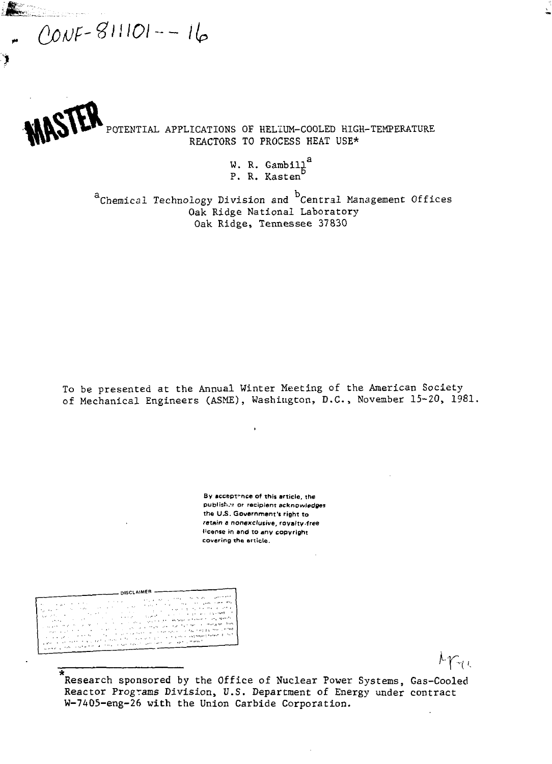$000F - 811101 - - 16$ 

۴

POTENTIAL APPLICATIONS OF HELIUM-COOLED HIGH-TEMPERATURE REACTORS TO PROCESS HEAT USE\*

> W. R. Gambill $a^a$ P. R. Kasten

<sup>a</sup> Chemical Technology Division and <sup>b</sup> Central Management Offices Oak Ridge National Laboratory Oak Ridge National Laboratory Oak Ridge, Tennessee 37830

To be presented at the Annual Winter Meeting of the American Society of Mechanical Engineers (ASME), Washington, D.C., November 15-20, 1981.

> **By acceptance of this article, the publish.^ or recipient acknowledges the U.S. Government's right to retain e nonexclusive, royalty-free license in and to any copyright covering the article.**

-DISCLAIMER -

Ā Research sponsored by the Office of Nuclear Power Systems, Gas-Cooled Reactor Programs Division, U.S. Department of Energy under contract W-7405-eng-26 with the Union Carbide Corporation.

 $\kappa_{\rm Te}$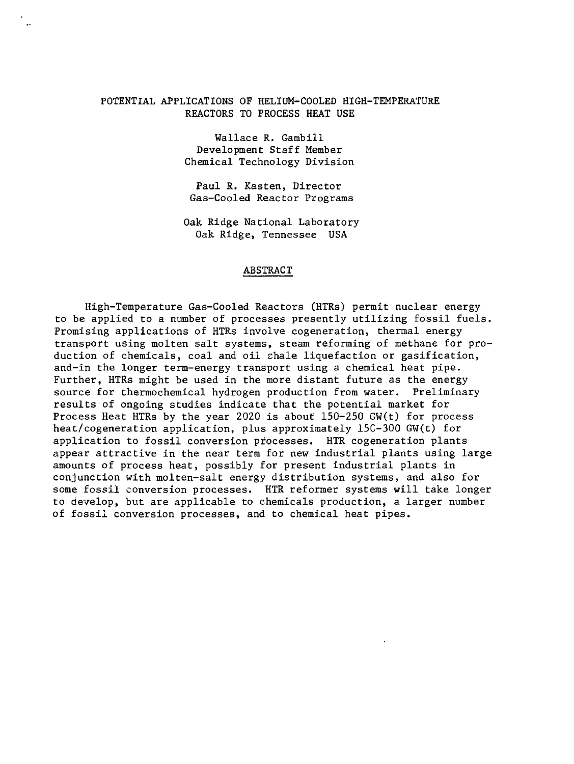# POTENTIAL APPLICATIONS OF HELIUM-COOLED HIGH-TEMPERATURE REACTORS TO PROCESS HEAT USE

Wallace R. Gambill Development Staff Member Chemical Technology Division

Paul R. Kasten, Director Gas-Cooled Reactor Programs

Oak Ridge National Laboratory Oak Ridge, Tennessee USA

# ABSTRACT

High-Temperature Gas-Cooled Reactors (HTRs) permit nuclear energy to be applied to a number of processes presently utilizing fossil fuels. Promising applications of HTRs involve cogeneration, thermal energy transport using molten salt systems, steam reforming of methane for production of chemicals, coal and oil shale liquefaction or gasification, and-in the longer term-energy transport using a chemical heat pipe. Further, HTRs might be used in the more distant future as the energy source for thermochemical hydrogen production from water. Preliminary results of ongoing studies indicate that the potential market for Process Heat HTRs by the year 2020 is about 150-250 GW(t) for process heat/cogeneration application, plus approximately 15C-300 GW(t) for application to fossil conversion processes. HTR cogeneration plants appear attractive in the near term for new industrial plants using large amounts of process heat, possibly for present industrial plants in conjunction with molten-salt energy distribution systems, and also for some fossil conversion processes. HTR reformer systems will take longer to develop, but are applicable to chemicals production, a larger number of fossil conversion processes, and to chemical heat pipes.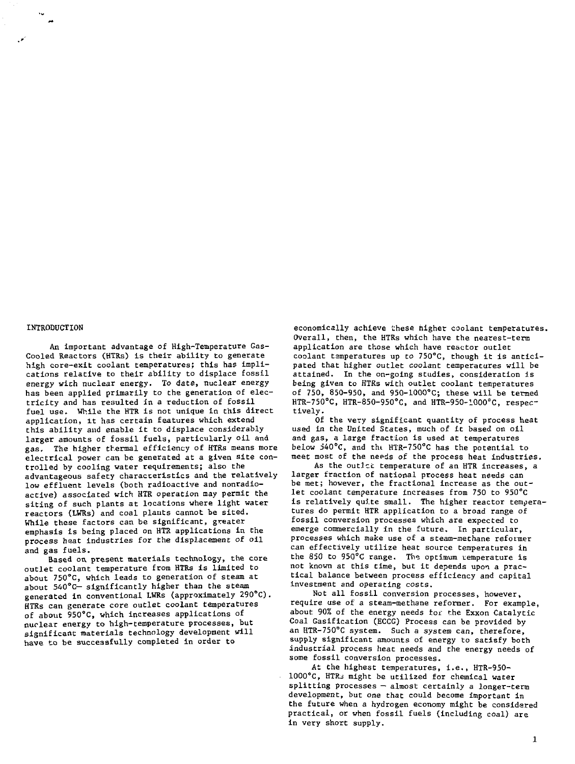#### INTRODUCTION

An important advantage of High-Temperature Gas-Cooled Reactors (HTRs) is their ability to generate high core-exit coolant temperatures; this has implications relative to their ability to displace fossil energy with nuclear energy. To date, nuclear energy has been applied primarily to the generation of electricity and has resulted in a reduction of fossil fuel use. While the HTR is not unique in this direct application, it has certain features which extend this ability and enable it to displace considerably larger amounts of fossil fuels, particularly oil and gas. The higher thermal efficiency of HTRs means more electrical power can be generated at a given site controlled by cooling water requirements; also the advantageous safety characteristics and the relatively low effluent levels (both radioactive and nonradioactive) associated with HTR operation may permit the siting of such plants at locations where light water reactors (LWRs) and coal plants cannot be sited. While these factors can be significant, greater emphasis is being placed on HTR applications in the process heat industries for the displacement of oil and gas fuels.

Based on present materials technology, the core outlet coolant temperature from HTRs is limited to about 750°C, which leads to generation of steam at about 540°C— significantly higher than the steam generated in conventional LWRs (approximately 290°C). HTRs can generate core outlet coolant temperatures of about 950°C, which increases applications of nuclear energy to high-temperature processes, but significant materials technology development will have to be successfully completed in order to

economically achieve these higher coolant temperatures. Overall, then, the HTRs which have the nearest-term application are those which have reactor outlet coolant temperatures up to 75O°C, though it is anticipated that higher outlet coolant temperatures will be attained. In the on-going studies, consideration is being given to HTRs with outlet coolant temperatures of 750, 850-950, and 950-1000°C; these will be termed HTR-75O°C, HTR-850-950°C, and HTR-950-1000°C, respectively .

Of the very significant quantity of process heat used in the United States, much of it based on oil and gas, a large fraction is used at temperatures below J40°C, and tht HTR-750°C has the potential to meet most of the needs of the process heat industries.

As the outlet temperature of an HTR increases, a larger traction of national process heat needs can be met; however, the fractional increase as the outlet coolant temperature increases from 750 to 950°C is relatively quite small. The higher reactor temperatures do permit HTR application to a broad range of fossil conversion processes which are expected to emerge commercially In the future. In particular, processes which make use of a steam-methane reformer can effectively utilize heat source temperatures in the 850 to 950°C range. The optimum temperature is not known at this time, but it depends upon a practical balance between process efficiency and capital Investment and operating costs.

Not all fossil conversion processes, however, require use of a steam-methane reformer. For example, about 90% of the energy needs toe the Exxon Catalytic Coal Gasification (ECCG) Process can be provided by an HTR-750"C system. Such a system can, therefore, supply significant amounts of energy to satisfy both industrial process heat needs and the energy needs of some fossil conversion processes.

At the highest temperatures, i.e., HTR-950- 1000"C, HTRa might be utilized for chemical water splitting processes — almost certainly a longer-term development, but one that could become important in the future when a hydrogen economy might be considered practical, or when fossil fuels (including coal) are in very short supply.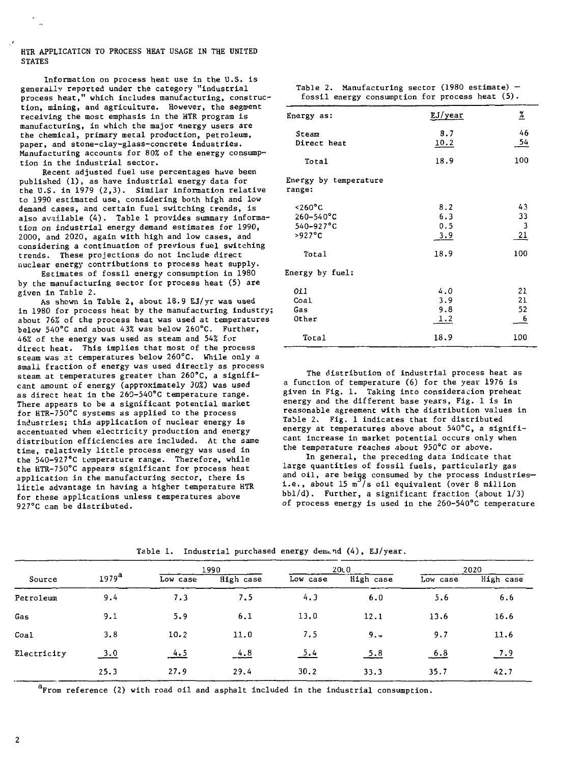HTR APPLICATION TO PROCESS HEAT USAGE IN THE UNITED **STATES** 

Information on process heat use in the U.S. is generally reported under the category "industrial process heat," which includes manufacturing, construction, mining, and agriculture. However, the segment receiving the most emphasis in the HTR program is manufacturing, in which the major energy users are the chemical, primary metal production, petroleum, paper, and stone-clay-glass-concrete industries. Manufacturing accounts for 80% of the energy consumption in the industrial sector.

Recent adjusted fuel use percentages have been published (1), as have industrial energy data for the U.S. in 1979 (2,3). Similar information relative to 1990 estimated use, considering both high and low demand cases, and certain fual switching trends, is also available (4). Table 1 provides summary information on industrial energy demand estimates for 1990, 2000, and 2020, again with high and low cases, and considering a continuation of previous fuel switching trends. These projections do not include direct nuclear energy contributions to process heat supply.

Estimates of fossil energy consumption in 1980 by the manufacturing sector for process heat (5) are given in Table 2.

As shown in Table 2, about 18.9 EJ/yr was used in 1980 for process heat by the manufacturing industry; about 76% of the process heat was used at temperatures below 540°C and about 43% was below 260°C. Further, 46% of the energy was used as steam and 54% for direct heat. This implies that most of the process steam was at temperatures below 260°C. While only a small fraction of energy was used directly as process steam at temperatures greater than 260°C, a significant amount of energy (approximately 30%) was used as direct heat in the 260-540°C temperature range. There appears to be a significant potential market for HTR-75O°C systems as applied to the process industries; this application of nuclear energy is accentuated when electricity production and energy distribution efficiencies are included. At the same time, relatively little process energy was used in the 540-927°C temperature range. Therefore, while the HTR-750°C appears significant for process heat application in the manufacturing sector, there is little advantage in having a higher temperature HTR for these applications unless temperatures above 927°C can be distributed.

Table 2. Manufacturing sector (1980 estimate) fossil energy consumption for process heat (5).

| Energy as:                                                        | EJ/year                  | <u>z</u>                                  |
|-------------------------------------------------------------------|--------------------------|-------------------------------------------|
| Steam<br>Direct heat                                              | 8.7<br>10.2              | 46<br>54                                  |
| Total                                                             | 18.9                     | 100                                       |
| Energy by temperature<br>range:                                   |                          |                                           |
| $~1260$ °C<br>$260 - 540^{\circ}C$<br>$540 - 927$ °C<br>$>927$ °C | 8.2<br>6.3<br>0.5<br>3.9 | 43<br>33<br>3<br>21                       |
| Total                                                             | 18.9                     | 100                                       |
| Energy by fuel:                                                   |                          |                                           |
| 011<br>Coal<br>Gas<br>Other                                       | 4.0<br>3.9<br>9.8<br>1.2 | 21<br>21<br>52<br>$\overline{\mathbf{e}}$ |
| Total                                                             | 18.9                     | 100                                       |

The distribution of industrial process heat as a function of temperature (6) for the year 1976 is given in Fig. 1. Taking into consideration preheat energy and the different base years, Fig. 1 is in reasonable agreement with the distribution values in Table 2. Fig. 1 indicates that for distributed energy at temperatures above about 540°C, a significant increase in market potential occurs only when the temperature reaches about 950°C or above.

In general, the preceding data indicate that large quantities of fossil fuels, particularly gas and oil, are being consumed by the process industriesi.e., about 15  $\frac{m^3}{s}$  oil equivalent (over 8 million bbl/d). Further, a significant fraction (about 1/3) of process energy is used in the 260-540°C temperature

| Source      | 1979 <sup>a</sup> | 1990     |           | 20 <sub>L</sub> 0 |           | 2020     |           |
|-------------|-------------------|----------|-----------|-------------------|-----------|----------|-----------|
|             |                   | Low case | High case | Low case          | High case | Low case | High case |
| Petroleum   | 9.4               | 7.3      | 7.5       | 4.3               | 6.0       | 5.6      | 6.6       |
| Gas         | 9.1               | 5.9      | 6.1       | 13.0              | 12.1      | 13.6     | 16.6      |
| Coal        | 3.8               | 10.2     | 11.0      | 7.5               | 9.7       | 9.7      | 11.6      |
| Electricity | 3.0               | 4.5      | 4.8       | <u>5.4</u>        | 5.8       | 6.8      | 7.9       |
|             | 25.3              | 27.9     | 29.4      | 30.2              | 33.3      | 35.7     | 42.7      |

Table 1. Industrial purchased energy demand (4), EJ/year.

 ${}^{a}$ From reference (2) with road oil and asphalt included in the industrial consumption.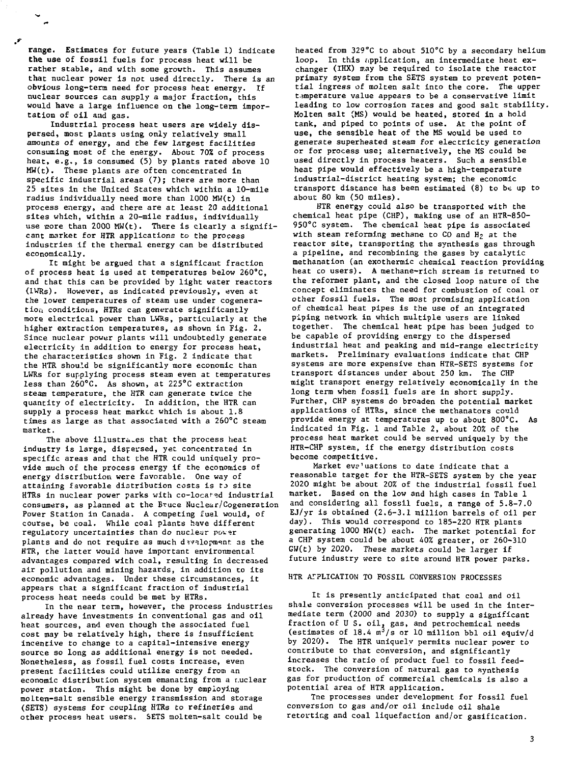range. Estimates for future years (Table 1) indicate the use of fossil fuels for process heat will be rather stable, and with some growth. This assumes that nuclear power is not used directly. There is an obvious long-term need for process heat energy. If nuclear sources can supply a major fraction, this would have a large influence on the long-term importation of oil and gas.

Industrial process heat users are widely dispersed, most plants using only relatively small amounts of energy, and the few largest facilities consuming most of the energy. About 70% of process heat, e.g., is consumed (5) by plants rated above 10 MW(t). These plants are often concentrated in specific industrial areas (7); there are more than 25 sites in the United States which within a 10-mile radius individually need more than 1000 MW(t) in process energy, and there are at least 20 additional sites which, within a 20-mile radius, individually use gore than 2000 MW(t). There is clearly a significant market for HTR applications to the process industries if the thermal energy can be distributed economically.

It might be argued that a significant fraction of process heat is used at temperatures below 260°C, and that this can be provided by light water reactors (IWRs). However, as indicated previously, even at the lower temperatures of steam use under cogeneration conditions, HTRs can generate significantly more electrical power than LWRs, particularly at the higher extraction temperatures, as shown in Fig. 2. Since nuclear power plants will undoubtedly generate electricity in addition to energy for process heat, the characteristics shown in Fig. 2 indicate that the HTR should be significantly more economic than LWRs for supplying process steam even at temperatures less than 26O°C. As shown, at 225°C extraction steam temperature, the HTR can generate twice the quantity of electricity. In addition, the HTR can supply a process heat market which is about 1.8 times as large as that associated with a 260°C steam market.

The above illustra.es that the process heat industry is large, dispersed, yet concentrated in specific areas and that the HTR could uniquely provide much of the process energy if the economics of energy distribution were favorable. One way of attaining favorable distribution costs is to site HTRs in nuclear power parks with co-located industrial consumers, as planned at the Bruce Nuclear/Cogeneration Power Station in Canada. A competing fuel would, of course, be coal. While coal plants have different regulatory uncertainties than do nuclear power plants and do not require as much development as the HTR, the latter would have important environmental advantages compared with coal, resulting in decreased air pollution and mining hazards, in addition to its economic advantages. Under these circumstances, it appears that a significant fraction of industrial process heat needs could be met by HTRs.

In the near term, however, the process industries already have investments in conventional gas and oil heat sources, and even though the associated fuel cost may be relatively high, there is insufficient incentive to change to a capital-intensive energy source so long as additional energy is not needed. Nonetheless, as fossil fuel costs increase, even present facilities could utilize energy from an economic distribution system emanating from a r.uclear power station. This might be done by employing molten-salt sensible energy transmission and storage (SETS) systems for coupling HTRs to refineries and other process heat users. SETS molten-salt could be

heated from 329°C to about 510°C by a secondary helium loop. In this application, an intermediate heat exchanger (IHX) may be required to isolate the reactor primary system from the SETS system to prevent potential ingress of molten salt into the core. The upper temperature value appears to be a conservative limit leading to low corrosion rates and good salt stability. Molten salt (MS) would be heated, stored in a hold tank, and piped to points of use. At the point of use, the sensible heat of the MS would be used to generate superheated steam for electricity generation or for process use; alternatively, the MS could be used directly in process heaters. Such a sensible heat pipe would effectively be a high-temperature industrial-district heating system; the economic transport distance has been estimated (8) to be up to about 80 km (50 miles).

HTR energy could also be transported with the chemical heat pipe (CHP), making use of an HTR-850- 950°C system. The chemical heat pipe is associated with steam reforming methane to  $CO$  and  $H<sub>2</sub>$  at the reactor site, transporting the synthesis gas through a pipeline, and recombining the gases by catalytic methanation (an exothermic chemical reaction providing heat co users). A methane-rich stream is returned to the reformer plant, and the closed loop nature of the concept eliminates the need for combustion of coal or other fossil fuels. The most promising application of chemical heat pipes is the use of an integrated piping network in which multiple users are linked together. The chemical heat pipe has been judged to be capable of providing energy to the dispersed industrial heat and peaking and mid-range electricity markets. Preliminary evaluations indicate that CHP systems are more expensive than HTR-SETS systems for transport distances under about 250 km. The CHP might transport energy relatively economically in the long term when fossil fuels are in short supply. Further, CHP systems do broaden the potential market applications of HTRs, since the methanators could provide energy at temperatures up to about 800°C. As provide energy at temperatures up to about 800 C.<br>indicated in Fig. 1 and Table 2, about 20% of the process heat market could be served uniquely by<br>HTR-CHP system, if the energy distribution costs

Market evaluations to date indicate that a reasonable target for the HTR-SETS system by the year 2020 might be about 20% of the industrial fossil fuel market. Based on the low and high cases in Table 1 and considering all fossil fuels, a range of 5.8-7.0 EJ/yr is obtained (2.6-3.1 million barrels of oil per day). This would correspond to 185-220 HTR plants generating 1000 MW(t) each. The market potential for a CHP system could be about 40% greater, or 260-310 GW(t) by 2020. These markets could be larger if future industry were to site around HTR power parks.

### HTR APPLICATION TO FOSSIL CONVERSION PROCESSES

It is presently anticipated that coal and oil shale conversion processes will be used in the intermediate term (2000 and 2030) to supply a significant fraction of U S. oil, gas, and petrochemical needs<br>(estimates of 18.4 m<sup>3</sup>/s or 10 million bbl oil equiv/d by 2020). The HTR uniquely permits nuclear power to contribute to that conversion, and significantly increases the ratio of product fuel to fossil feedstock. The conversion of natural gas to synthesis gas for production of commercial chemicals is also a potential area of HTR application.

Tne processes under development for fossil fuel conversion to gas and/or oil include oil shale retorting and coal liquefaction and/or gasification.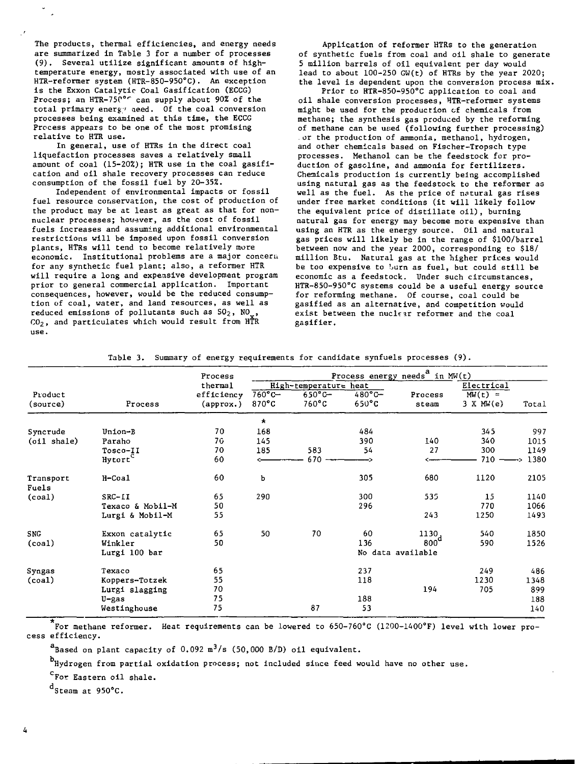The products, thermal efficiencies, and energy needs are summarized in Table 3 for a number of processes (9). Several utilize significant amounts of hightemperature energy, mostly associated with use of an HTR-reformer system (HTR-850-95O°C). An exception is the Exxon Catalytic Coal Gasification (ECCG) Process: an HTR-75<sup>por</sup> can supply about 90% of the total primary energy aeed. Of the coal conversion processes being examined at this time, the ECCG Process appears to be one of the most promising relative to HTR use.

In general, use of HTRs in the direct coal liquefaction processes saves a relatively small amount of coal (15-202); HTR use in the coal gasification and oil shale recovery processes can reduce consumption of the fossil fuel by 20-35%.

Independent of environmental impacts or fossil fuel resource conservation, the cost of production of the product may be at least as great as that for nonnuclear processes; however, as the cost of fossil fuels increases and assuming additional environmental restrictions will be imposed upon fossil conversion plants, HTRs will tend to become relatively more economic. Institutional problems are a major concern for any synthetic fuel plant; also, a reformer HTR will require a long and expensive development program prior to general commercial application. Important consequences, however, would be the reduced consumption of coal, water, and land resources, as well as reduced emissions of pollutants such as  $SO_2$ ,  $NO<sub>u</sub>$ ,  $CO<sub>2</sub>$ , and particulates which would result from HTR  $use.$ 

Application of reformer HTRs to the generation of synthetic fuels from coal and oil shale to generate 5 million barrels of oil equivalent per day would lead to about 100-250 GW(t) of HTRs by the year 2020; the level is dependent upon the conversion process mix.

Prior to HTR-850-950°C application to coal and oil shale conversion processes, HTR-reformer systems might be used for the production of chemicals from methane; the synthesis gas produced by the reforming of methane can be used (following further processing) or the production of ammonia, methanol, hydrogen, and other chemicals based on Fischer-Tropsch type processes. Methanol can be the feedstock for production of gasoline, and ammonia for fertilizers. Chemicals production is currently being accomplished using natural gas as the feedstock to the reformer as well as the fuel. As the price of natural gas rises under free market conditions (it will likely follow the equivalent price of distillate oil), burning natural gas for energy may become more expensive than using an HTR as the energy source. Oil and natural gas prices will likely be in the range of \$100/barrel between now and the year 2000, corresponding to \$18/ million Btu. Natural gas at the higher prices would be too expensive to burn as fuel, but could still be economic as a feedstock. Under such circumstances, HTR-850-950°C systems could be a useful energy source for reforming methane. Of course, coal could be gasified as an alternative, and competition would exist between the nuclear reformer and the coal gasifier.

|                    |                  | Process<br>thermal | Process energy needs <sup>a</sup> in MW(t) |                |                  |                   |            |       |
|--------------------|------------------|--------------------|--------------------------------------------|----------------|------------------|-------------------|------------|-------|
|                    |                  |                    | High-temperature heat                      |                |                  |                   | Electr1ca1 |       |
| Product            |                  | efficiency         | $760^{\circ}$ C-                           | $650^\circ$ C- | $480^{\circ}$ C- | Process           | $MW(t) =$  |       |
| (source)           | Process          | $(\text{approx.})$ | $870^{\circ}$ C                            | 760°C          | $650^{\circ}$ C  | steam             | 3 X MW(e)  | Total |
|                    |                  |                    | $\star$                                    |                |                  |                   |            |       |
| Syncrude           | Union-B          | 70                 | 168                                        |                | 484              |                   | 345        | 997   |
| (oil shale)        | Paraho           | 76                 | 145                                        |                | 390              | 140               | 340        | 1015  |
|                    | Tosco-II         | 70                 | 185                                        | 583            | 54               | 27                | 300        | 1149  |
|                    | Hytort           | 60                 |                                            | 670            |                  |                   | 710        | 1380  |
| Transport<br>Fuels | H-Coal           | 60                 | Ъ                                          |                | 305              | 680               | 1120       | 2105  |
| (coa1)             | $SRC-11$         | 65                 | 290                                        |                | 300              | 535               | 15         | 1140  |
|                    | Texaco & Mobil-M | 50                 |                                            |                | 296              |                   | 770        | 1066  |
|                    | Lurgi & Mobil-M  | 55                 |                                            |                |                  | 243               | 1250       | 1493  |
| <b>SNG</b>         | Exxon catalytic  | 65                 | 50                                         | 70             | 60               | 1130.             | 540        | 1850  |
| (coa1)             | Winkler          | 50                 |                                            |                | 136              | 800 <sup>d</sup>  | 590        | 1526  |
|                    | Lurgi 100 bar    |                    |                                            |                |                  | No data available |            |       |
| Syngas             | Texaco           | 65                 |                                            |                | 237              |                   | 249        | 486   |
| (coal)             | Koppers-Totzek   | 55                 |                                            |                | 118              |                   | 1230       | 1348  |
|                    | Lurgi slagging   | 70                 |                                            |                |                  | 194               | 705        | 899   |
|                    | U-gas            | 75                 |                                            |                | 188              |                   |            | 188   |
|                    | Westinghouse     | 75                 |                                            | 87             | 53               |                   |            | 140   |

Table 3. Summary of energy requirements for candidate synfuels processes (9).

For methane reformer. Heat requirements can be lowered to 650-760°C (1200-1400°F) level with lower process efficiency.

 $a_{\text{Based on plant capacity of 0.092 m}^3/s (50,000 B/D)$  oil equivalent.

b<br>Hydrogen from partial oxidation process; not included since feed would have no other use.

CFor Eastern oil shale.

 $d_{\text{Steam at } 950^{\circ}$ C.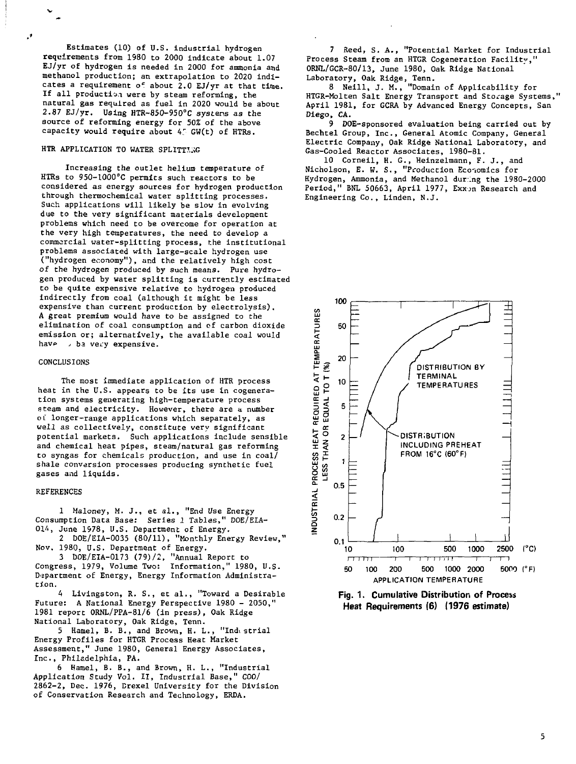Estimates (10) of U.S. industrial hydrogen requirements from 1980 to 2000 indicate about 1.07 EJ/yr of hydrogen is needed in 2000 for ammonia and methanol production; an extrapolation to 2020 indicates a requirement of about 2.0 EJ/yr at that time. If all production were by steam reforming, the natural gas required as fuel in 2020 would be about 2.87 EJ/yr. Using HTR-850-950°C systens as the source of reforming energy for 50% of the above capacity would require about  $4^\circ$  GW(t) of HTRs.

## HTR APPLICATION TO WATER SPLITTING

Increasing the outlet helium temperature of HTRs to 95O-1OOO"C permits such reactors to be considered as energy sources for hydrogen production through thermochemical water splitting processes. Such applications will likely be slow in evolving due to the very significant materials development problems which need to be overcome for operation at the very high temperatures, the need to develop a commercial water-splitting process, the institutional problems associated with large-scale hydrogen use ("hydrogen economy"), and the relatively high cost of the hydrogen produced by such means. Pure hydrogen produced by water splitting is currently estimated to be quite expensive relative to hydrogen produced indirectly from coal (although it might be less expensive than current production by electrolysis). A great premium would have to be assigned to the elimination of coal consumption and cf carbon dioxide emission or; alternatively, the available coal would have be very expensive.

### CONCLUSIONS

The most immediate application of HTR process heat in the U.S. appears to be its use in cogeneration systems generating high-temperature process steam and electricity. However, there are a number of longer-range applications which separately, as well as collectively, constitute very significant potential markets. Such applications include sensible and chemical heat pipes, steam/natural gas reforming to syngas for chemicals production, and use in coal/ shale conversion processes producing synthetic fuel gases and liquids.

### REFERENCES

1 Maloney, M. J., et al., "End Use Energy Consumption Data Base: Series 1 Tables," DOE/EIA-014, June 1978, U.S. Department of Energy.

2 DOE/EIA-0035 (80/11), "Monthly Energy Review," Nov. 1980, U.S. Department of Energy.

3 DOE/EIA-0173 (79)/2, "Annual Report to Congress, 1979, Volume Two: Information," 1980, U.S. Department of Energy, Energy Information Administration.

4 Livingston, R. S., et al., "Toward a Desirable Future: A National Energy Perspective 1980 - 2050," 1981 report 0RNL/PPA-81/6 (in press), Oak Ridge National Laboratory, Oak Ridge, Tenn.

5 Hamel, B. B., and Brown, H. L., "Indi strial Energy Profiles for HTGR Process Heat Market Assessment," June 1980, General Energy Associates, Inc., Philadelphia, PA.

6 Hamel, B. B., and Brown, H. L., "Industrial Application Study Vol. II, Industrial Base," COO/ 2862-2, Dec. 1976, Crexel University for the Division of Conservation Research and Technology, ERDA.

7 Reed, S. A., "Potential Market for Industrial Process Steam from an HTGR Cogeneration Facility," ORNL/GCR-80/13, June 1980, Oak Ridge National Laboratory, Oak Ridge, Tenn.

8 Neill, J. M., "Domain of Applicability for HTGR-Molten Salt Energy Transport and Storage Systems," April 1981, for GCRA by Advanced Energy Concepts, San Diego, CA.

9 DOE-sponsored evaluation being carried out by Bechtel Group, Inc., General Atomic Company, General Electric Company, Oak Ridge National Laboratory, and Gas-Cooled Reactor Associates, 1980-81.

10 Corneil, H. G., Heinzelmann, F. J., and Nicholson, E. W. S., "Production Economics for Hydrogen, Ammonia, and Methanol dur∴ng the 1980-2000<br>Period," BNL 50663, April 1977, Exxon Research and Engineering Co., Linden, N.J.





5